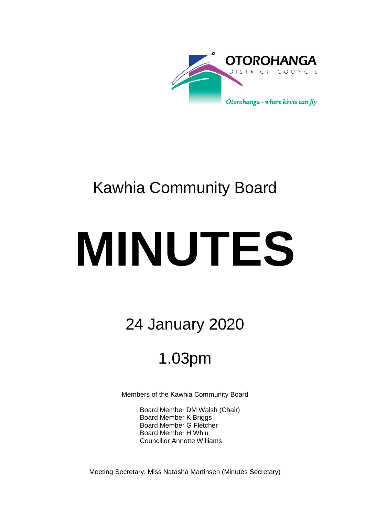

## Kawhia Community Board

# **MINUTES**

## 24 January 2020

## 1.03pm

Members of the Kawhia Community Board

Board Member DM Walsh (Chair) Board Member K Briggs Board Member G Fletcher Board Member H Whiu Councillor Annette Williams

Meeting Secretary: Miss Natasha Martinsen (Minutes Secretary)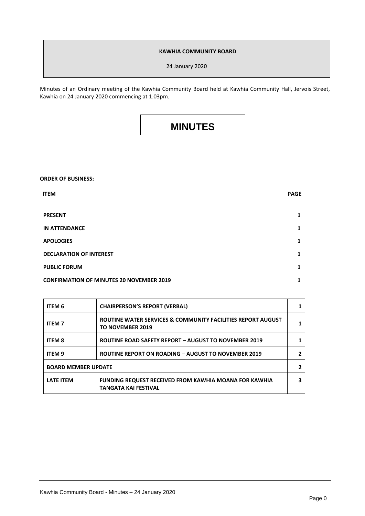#### **KAWHIA COMMUNITY BOARD**

24 January 2020

Minutes of an Ordinary meeting of the Kawhia Community Board held at Kawhia Community Hall, Jervois Street, Kawhia on 24 January 2020 commencing at 1.03pm.

### **MINUTES**

| <b>ORDER OF BUSINESS:</b>                       |             |
|-------------------------------------------------|-------------|
| <b>ITEM</b>                                     | <b>PAGE</b> |
| <b>PRESENT</b>                                  | 1           |
| <b>IN ATTENDANCE</b>                            | 1           |
| <b>APOLOGIES</b>                                | 1           |
| <b>DECLARATION OF INTEREST</b>                  | 1           |
| <b>PUBLIC FORUM</b>                             | 1           |
| <b>CONFIRMATION OF MINUTES 20 NOVEMBER 2019</b> | 1           |

| <b>ITEM 6</b>              | <b>CHAIRPERSON'S REPORT (VERBAL)</b>                                                        |  |
|----------------------------|---------------------------------------------------------------------------------------------|--|
| <b>ITEM 7</b>              | ROUTINE WATER SERVICES & COMMUNITY FACILITIES REPORT AUGUST<br><b>TO NOVEMBER 2019</b>      |  |
| <b>ITEM 8</b>              | <b>ROUTINE ROAD SAFETY REPORT - AUGUST TO NOVEMBER 2019</b>                                 |  |
| <b>ITEM 9</b>              | <b>ROUTINE REPORT ON ROADING - AUGUST TO NOVEMBER 2019</b>                                  |  |
| <b>BOARD MEMBER UPDATE</b> |                                                                                             |  |
| <b>LATE ITEM</b>           | <b>FUNDING REQUEST RECEIVED FROM KAWHIA MOANA FOR KAWHIA</b><br><b>TANGATA KAI FESTIVAL</b> |  |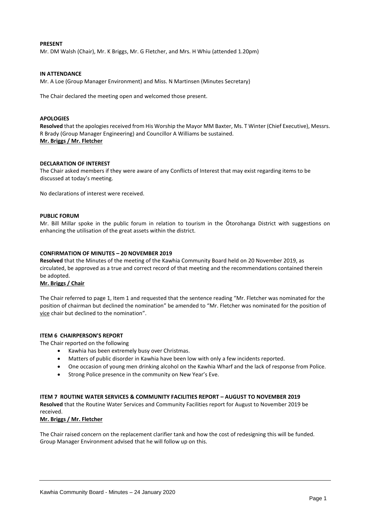#### **PRESENT**

Mr. DM Walsh (Chair), Mr. K Briggs, Mr. G Fletcher, and Mrs. H Whiu (attended 1.20pm)

#### **IN ATTENDANCE**

Mr. A Loe (Group Manager Environment) and Miss. N Martinsen (Minutes Secretary)

The Chair declared the meeting open and welcomed those present.

#### **APOLOGIES**

Resolved that the apologies received from His Worship the Mayor MM Baxter, Ms. T Winter (Chief Executive), Messrs. R Brady (Group Manager Engineering) and Councillor A Williams be sustained. **Mr. Briggs / Mr. Fletcher**

#### **DECLARATION OF INTEREST**

The Chair asked members if they were aware of any Conflicts of Interest that may exist regarding items to be discussed at today's meeting.

No declarations of interest were received.

#### **PUBLIC FORUM**

Mr. Bill Millar spoke in the public forum in relation to tourism in the Ōtorohanga District with suggestions on enhancing the utilisation of the great assets within the district.

#### **CONFIRMATION OF MINUTES – 20 NOVEMBER 2019**

**Resolved** that the Minutes of the meeting of the Kawhia Community Board held on 20 November 2019, as circulated, be approved as a true and correct record of that meeting and the recommendations contained therein be adopted.

#### **Mr. Briggs / Chair**

The Chair referred to page 1, Item 1 and requested that the sentence reading "Mr. Fletcher was nominated for the position of chairman but declined the nomination" be amended to "Mr. Fletcher was nominated for the position of vice chair but declined to the nomination".

#### **ITEM 6 CHAIRPERSON'S REPORT**

The Chair reported on the following

- Kawhia has been extremely busy over Christmas.
- Matters of public disorder in Kawhia have been low with only a few incidents reported.
- One occasion of young men drinking alcohol on the Kawhia Wharf and the lack of response from Police.
- Strong Police presence in the community on New Year's Eve.

#### **ITEM 7 ROUTINE WATER SERVICES & COMMUNITY FACILITIES REPORT – AUGUST TO NOVEMBER 2019**

**Resolved** that the Routine Water Services and Community Facilities report for August to November 2019 be received.

#### **Mr. Briggs / Mr. Fletcher**

The Chair raised concern on the replacement clarifier tank and how the cost of redesigning this will be funded. Group Manager Environment advised that he will follow up on this.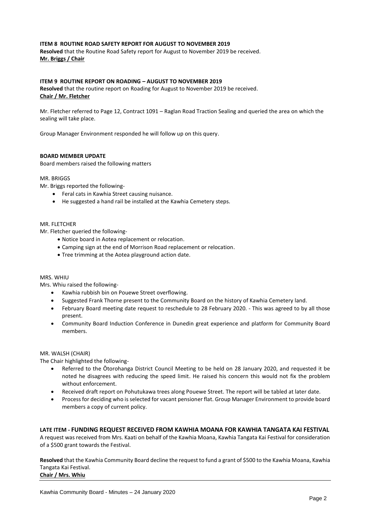#### **ITEM 8 ROUTINE ROAD SAFETY REPORT FOR AUGUST TO NOVEMBER 2019**

**Resolved** that the Routine Road Safety report for August to November 2019 be received. **Mr. Briggs / Chair**

#### **ITEM 9 ROUTINE REPORT ON ROADING – AUGUST TO NOVEMBER 2019**

**Resolved** that the routine report on Roading for August to November 2019 be received. **Chair / Mr. Fletcher**

Mr. Fletcher referred to Page 12, Contract 1091 – Raglan Road Traction Sealing and queried the area on which the sealing will take place.

Group Manager Environment responded he will follow up on this query.

#### **BOARD MEMBER UPDATE**

Board members raised the following matters

#### MR. BRIGGS

Mr. Briggs reported the following-

- Feral cats in Kawhia Street causing nuisance.
- He suggested a hand rail be installed at the Kawhia Cemetery steps.

#### MR. FLETCHER

Mr. Fletcher queried the following-

- Notice board in Aotea replacement or relocation.
- Camping sign at the end of Morrison Road replacement or relocation.
- Tree trimming at the Aotea playground action date.

#### MRS. WHIU

Mrs. Whiu raised the following-

- Kawhia rubbish bin on Pouewe Street overflowing.
- Suggested Frank Thorne present to the Community Board on the history of Kawhia Cemetery land.
- February Board meeting date request to reschedule to 28 February 2020. This was agreed to by all those present.
- Community Board Induction Conference in Dunedin great experience and platform for Community Board members.

#### MR. WALSH (CHAIR)

The Chair highlighted the following-

- Referred to the Ōtorohanga District Council Meeting to be held on 28 January 2020, and requested it be noted he disagrees with reducing the speed limit. He raised his concern this would not fix the problem without enforcement.
- Received draft report on Pohutukawa trees along Pouewe Street. The report will be tabled at later date.
- Process for deciding who is selected for vacant pensioner flat. Group Manager Environment to provide board members a copy of current policy.

#### **LATE ITEM - FUNDING REQUEST RECEIVED FROM KAWHIA MOANA FOR KAWHIA TANGATA KAI FESTIVAL**

A request was received from Mrs. Kaati on behalf of the Kawhia Moana, Kawhia Tangata Kai Festival for consideration of a \$500 grant towards the Festival.

**Resolved** that the Kawhia Community Board decline the request to fund a grant of \$500 to the Kawhia Moana, Kawhia Tangata Kai Festival. **Chair / Mrs. Whiu**